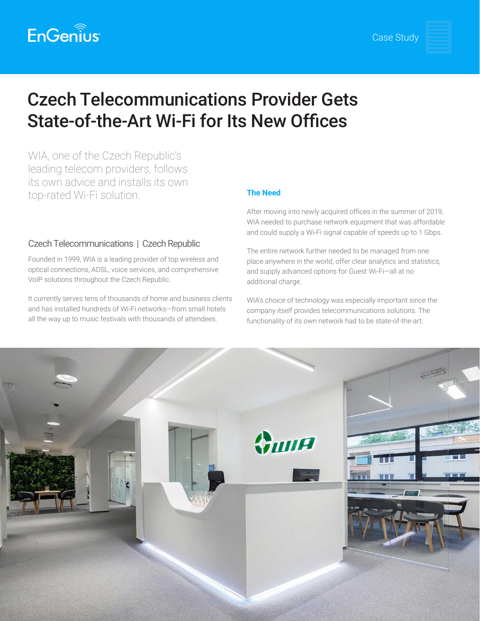

# Czech Telecommunications Provider Gets State-of-the-Art Wi-Fi for Its New Offices

WIA, one of the Czech Republic's leading telecom providers, follows its own advice and installs its own top-rated Wi-Fi solution.

## Czech Telecommunications | Czech Republic

Founded in 1999, WIA is a leading provider of top wireless and optical connections, ADSL, voice services, and comprehensive VoIP solutions throughout the Czech Republic.

It currently serves tens of thousands of home and business clients and has installed hundreds of Wi-Fi networks—from small hotels all the way up to music festivals with thousands of attendees.

#### **The Need**

After moving into newly acquired offices in the summer of 2019, WIA needed to purchase network equipment that was affordable and could supply a Wi-Fi signal capable of speeds up to 1 Gbps.

The entire network further needed to be managed from one place anywhere in the world, offer clear analytics and statistics, and supply advanced options for Guest Wi-Fi—all at no additional charge.

WIA's choice of technology was especially important since the company itself provides telecommunications solutions. The functionality of its own network had to be state-of-the-art.

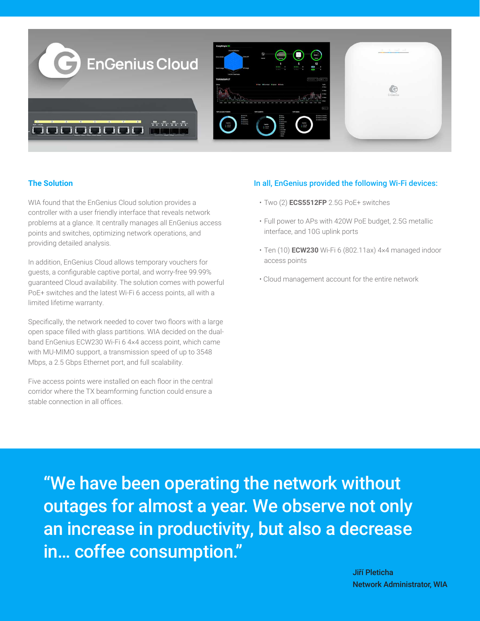

## **The Solution**

WIA found that the EnGenius Cloud solution provides a controller with a user friendly interface that reveals network problems at a glance. It centrally manages all EnGenius access points and switches, optimizing network operations, and providing detailed analysis.

In addition, EnGenius Cloud allows temporary vouchers for guests, a configurable captive portal, and worry-free 99.99% guaranteed Cloud availability. The solution comes with powerful PoE+ switches and the latest Wi-Fi 6 access points, all with a limited lifetime warranty.

Specifically, the network needed to cover two floors with a large open space filled with glass partitions. WIA decided on the dualband EnGenius ECW230 Wi-Fi 6 4×4 access point, which came with MU-MIMO support, a transmission speed of up to 3548 Mbps, a 2.5 Gbps Ethernet port, and full scalability.

Five access points were installed on each floor in the central corridor where the TX beamforming function could ensure a stable connection in all offices.

#### In all, EnGenius provided the following Wi-Fi devices:

- Two (2) **ECS5512FP** 2.5G PoE+ switches
- Full power to APs with 420W PoE budget, 2.5G metallic interface, and 10G uplink ports
- Ten (10) **ECW230** Wi-Fi 6 (802.11ax) 4×4 managed indoor access points
- Cloud management account for the entire network

"We have been operating the network without outages for almost a year. We observe not only an increase in productivity, but also a decrease in… coffee consumption."